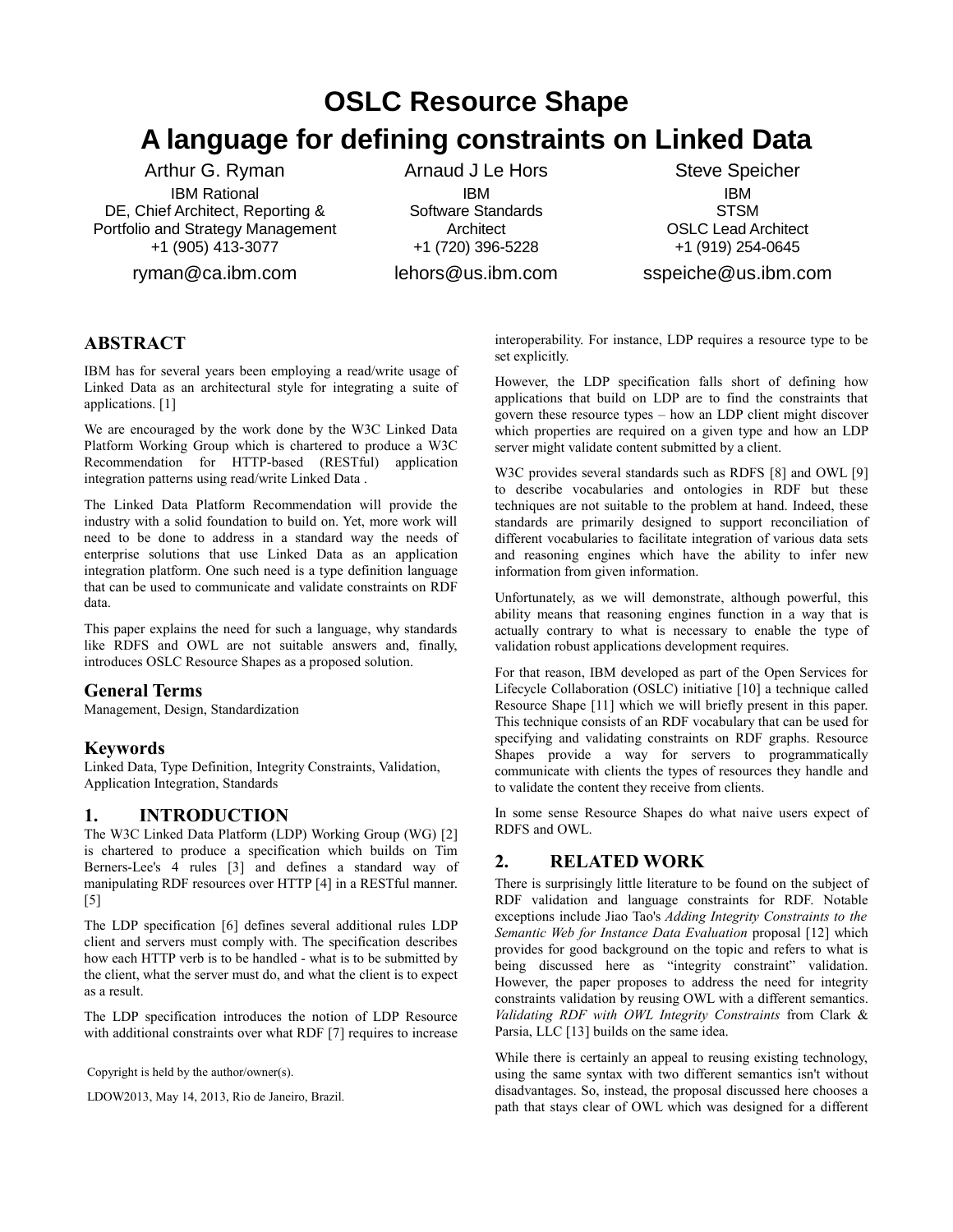# **OSLC Resource Shape A language for defining constraints on Linked Data**

Arthur G. Ryman IBM Rational DE, Chief Architect, Reporting & Portfolio and Strategy Management +1 (905) 413-3077

ryman@ca.ibm.com

Arnaud J Le Hors IBM Software Standards **Architect** +1 (720) 396-5228 lehors@us.ibm.com

Steve Speicher IBM **STSM** OSLC Lead Architect +1 (919) 254-0645

sspeiche@us.ibm.com

# **ABSTRACT**

IBM has for several years been employing a read/write usage of Linked Data as an architectural style for integrating a suite of applications. [\[1\]](#page-4-0)

We are encouraged by the work done by the W3C Linked Data Platform Working Group which is chartered to produce a W3C Recommendation for HTTP-based (RESTful) application integration patterns using read/write Linked Data .

The Linked Data Platform Recommendation will provide the industry with a solid foundation to build on. Yet, more work will need to be done to address in a standard way the needs of enterprise solutions that use Linked Data as an application integration platform. One such need is a type definition language that can be used to communicate and validate constraints on RDF data.

This paper explains the need for such a language, why standards like RDFS and OWL are not suitable answers and, finally, introduces OSLC Resource Shapes as a proposed solution.

## **General Terms**

Management, Design, Standardization

## **Keywords**

Linked Data, Type Definition, Integrity Constraints, Validation, Application Integration, Standards

# **1. INTRODUCTION**

The W3C Linked Data Platform (LDP) Working Group (WG) [\[2\]](#page-4-12) is chartered to produce a specification which builds on Tim Berners-Lee's 4 rules [\[3\]](#page-4-11) and defines a standard way of manipulating RDF resources over HTTP [\[4\]](#page-4-10) in a RESTful manner. [\[5\]](#page-4-9)

The LDP specification [\[6\]](#page-4-8) defines several additional rules LDP client and servers must comply with. The specification describes how each HTTP verb is to be handled - what is to be submitted by the client, what the server must do, and what the client is to expect as a result.

The LDP specification introduces the notion of LDP Resource with additional constraints over what RDF [\[7\]](#page-4-7) requires to increase

Copyright is held by the author/owner(s).

LDOW2013, May 14, 2013, Rio de Janeiro, Brazil.

interoperability. For instance, LDP requires a resource type to be set explicitly.

However, the LDP specification falls short of defining how applications that build on LDP are to find the constraints that govern these resource types – how an LDP client might discover which properties are required on a given type and how an LDP server might validate content submitted by a client.

W3C provides several standards such as RDFS [\[8\]](#page-4-6) and OWL [\[9\]](#page-4-5) to describe vocabularies and ontologies in RDF but these techniques are not suitable to the problem at hand. Indeed, these standards are primarily designed to support reconciliation of different vocabularies to facilitate integration of various data sets and reasoning engines which have the ability to infer new information from given information.

Unfortunately, as we will demonstrate, although powerful, this ability means that reasoning engines function in a way that is actually contrary to what is necessary to enable the type of validation robust applications development requires.

For that reason, IBM developed as part of the Open Services for Lifecycle Collaboration (OSLC) initiative [\[10\]](#page-4-4) a technique called Resource Shape [\[11\]](#page-4-3) which we will briefly present in this paper. This technique consists of an RDF vocabulary that can be used for specifying and validating constraints on RDF graphs. Resource Shapes provide a way for servers to programmatically communicate with clients the types of resources they handle and to validate the content they receive from clients.

In some sense Resource Shapes do what naive users expect of RDFS and OWL.

## **2. RELATED WORK**

There is surprisingly little literature to be found on the subject of RDF validation and language constraints for RDF. Notable exceptions include Jiao Tao's *Adding Integrity Constraints to the Semantic Web for Instance Data Evaluation* proposal [\[12\]](#page-4-2) which provides for good background on the topic and refers to what is being discussed here as "integrity constraint" validation. However, the paper proposes to address the need for integrity constraints validation by reusing OWL with a different semantics. *Validating RDF with OWL Integrity Constraints* from Clark & Parsia, LLC [\[13\]](#page-4-1) builds on the same idea.

While there is certainly an appeal to reusing existing technology, using the same syntax with two different semantics isn't without disadvantages. So, instead, the proposal discussed here chooses a path that stays clear of OWL which was designed for a different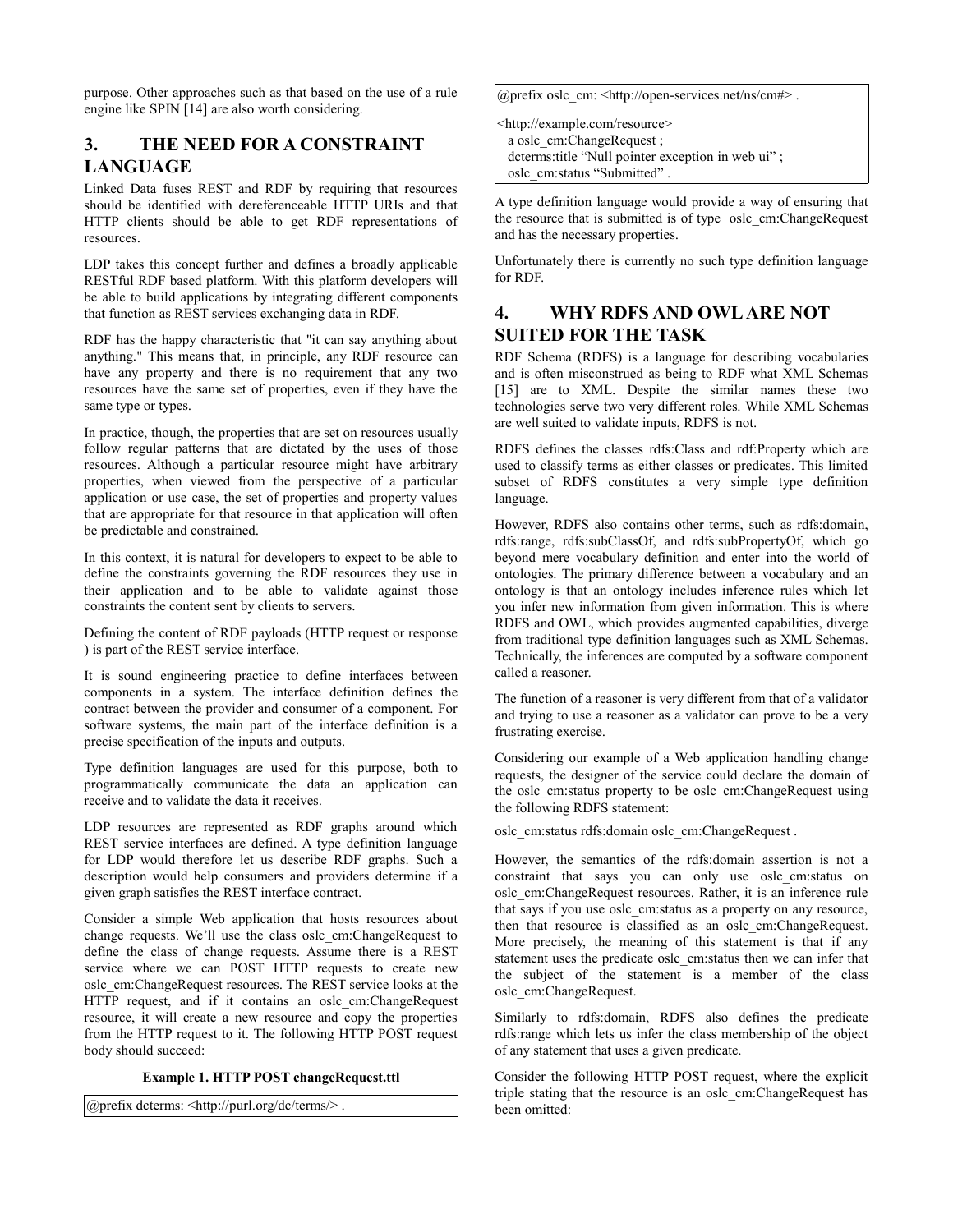purpose. Other approaches such as that based on the use of a rule engine like SPIN [\[14\]](#page-4-14) are also worth considering.

# **3. THE NEED FOR A CONSTRAINT LANGUAGE**

Linked Data fuses REST and RDF by requiring that resources should be identified with dereferenceable HTTP URIs and that HTTP clients should be able to get RDF representations of resources.

LDP takes this concept further and defines a broadly applicable RESTful RDF based platform. With this platform developers will be able to build applications by integrating different components that function as REST services exchanging data in RDF.

RDF has the happy characteristic that "it can say anything about anything." This means that, in principle, any RDF resource can have any property and there is no requirement that any two resources have the same set of properties, even if they have the same type or types.

In practice, though, the properties that are set on resources usually follow regular patterns that are dictated by the uses of those resources. Although a particular resource might have arbitrary properties, when viewed from the perspective of a particular application or use case, the set of properties and property values that are appropriate for that resource in that application will often be predictable and constrained.

In this context, it is natural for developers to expect to be able to define the constraints governing the RDF resources they use in their application and to be able to validate against those constraints the content sent by clients to servers.

Defining the content of RDF payloads (HTTP request or response ) is part of the REST service interface.

It is sound engineering practice to define interfaces between components in a system. The interface definition defines the contract between the provider and consumer of a component. For software systems, the main part of the interface definition is a precise specification of the inputs and outputs.

Type definition languages are used for this purpose, both to programmatically communicate the data an application can receive and to validate the data it receives.

LDP resources are represented as RDF graphs around which REST service interfaces are defined. A type definition language for LDP would therefore let us describe RDF graphs. Such a description would help consumers and providers determine if a given graph satisfies the REST interface contract.

Consider a simple Web application that hosts resources about change requests. We'll use the class oslc\_cm:ChangeRequest to define the class of change requests. Assume there is a REST service where we can POST HTTP requests to create new oslc\_cm:ChangeRequest resources. The REST service looks at the HTTP request, and if it contains an oslc cm:ChangeRequest resource, it will create a new resource and copy the properties from the HTTP request to it. The following HTTP POST request body should succeed:

### <span id="page-1-0"></span>**Example 1. HTTP POST changeRequest.ttl**

@prefix dcterms: <http://purl.org/dc/terms/> .

@prefix oslc\_cm: <http://open-services.net/ns/cm#> .

<http://example.com/resource> a oslc\_cm:ChangeRequest ; dcterms:title "Null pointer exception in web ui" ; oslc\_cm:status "Submitted" .

A type definition language would provide a way of ensuring that the resource that is submitted is of type oslc\_cm:ChangeRequest and has the necessary properties.

Unfortunately there is currently no such type definition language for RDF.

# **4. WHY RDFS AND OWL ARE NOT SUITED FOR THE TASK**

RDF Schema (RDFS) is a language for describing vocabularies and is often misconstrued as being to RDF what XML Schemas [\[15\]](#page-4-13) are to XML. Despite the similar names these two technologies serve two very different roles. While XML Schemas are well suited to validate inputs, RDFS is not.

RDFS defines the classes rdfs:Class and rdf:Property which are used to classify terms as either classes or predicates. This limited subset of RDFS constitutes a very simple type definition language.

However, RDFS also contains other terms, such as rdfs:domain, rdfs:range, rdfs:subClassOf, and rdfs:subPropertyOf, which go beyond mere vocabulary definition and enter into the world of ontologies. The primary difference between a vocabulary and an ontology is that an ontology includes inference rules which let you infer new information from given information. This is where RDFS and OWL, which provides augmented capabilities, diverge from traditional type definition languages such as XML Schemas. Technically, the inferences are computed by a software component called a reasoner.

The function of a reasoner is very different from that of a validator and trying to use a reasoner as a validator can prove to be a very frustrating exercise.

Considering our example of a Web application handling change requests, the designer of the service could declare the domain of the oslc\_cm:status property to be oslc\_cm:ChangeRequest using the following RDFS statement:

oslc\_cm:status rdfs:domain oslc\_cm:ChangeRequest .

However, the semantics of the rdfs:domain assertion is not a constraint that says you can only use oslc\_cm:status on oslc\_cm:ChangeRequest resources. Rather, it is an inference rule that says if you use oslc cm:status as a property on any resource, then that resource is classified as an oslc\_cm:ChangeRequest. More precisely, the meaning of this statement is that if any statement uses the predicate oslc\_cm:status then we can infer that the subject of the statement is a member of the class oslc\_cm:ChangeRequest.

Similarly to rdfs:domain, RDFS also defines the predicate rdfs:range which lets us infer the class membership of the object of any statement that uses a given predicate.

Consider the following HTTP POST request, where the explicit triple stating that the resource is an oslc\_cm:ChangeRequest has been omitted: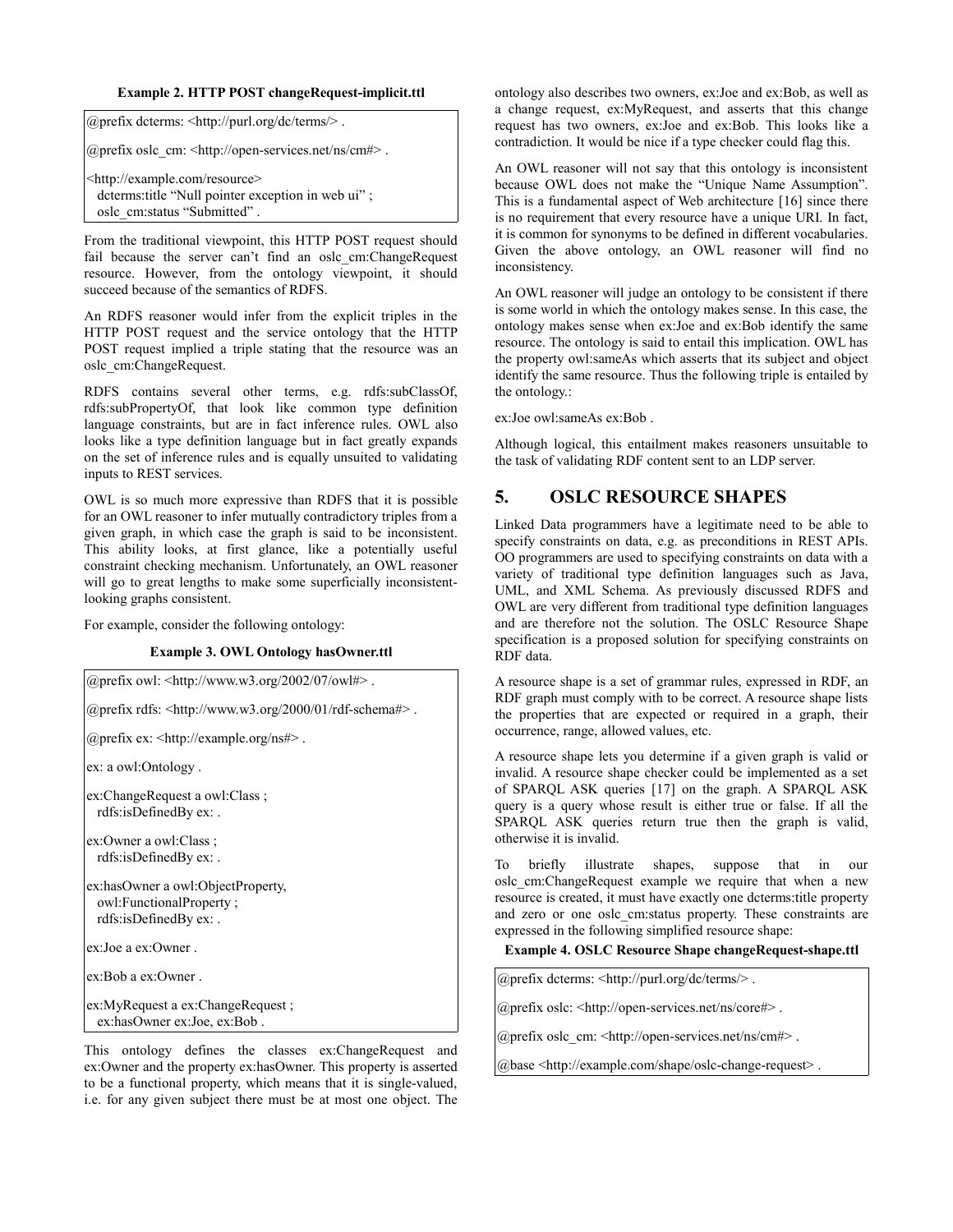#### **Example 2. HTTP POST changeRequest-implicit.ttl**

| @prefix dcterms: $\langle \text{http://purl.org/dc/terms/>} \rangle$ .                                                            |  |
|-----------------------------------------------------------------------------------------------------------------------------------|--|
| @prefix oslc_cm: <http: cm#="" ns="" open-services.net="">.</http:>                                                               |  |
| <http: example.com="" resource=""><br/>dcterms: title "Null pointer exception in web ui";<br/>osle cm:status "Submitted".</http:> |  |

From the traditional viewpoint, this HTTP POST request should fail because the server can't find an oslc cm:ChangeRequest resource. However, from the ontology viewpoint, it should succeed because of the semantics of RDFS.

An RDFS reasoner would infer from the explicit triples in the HTTP POST request and the service ontology that the HTTP POST request implied a triple stating that the resource was an oslc\_cm:ChangeRequest.

RDFS contains several other terms, e.g. rdfs:subClassOf, rdfs:subPropertyOf, that look like common type definition language constraints, but are in fact inference rules. OWL also looks like a type definition language but in fact greatly expands on the set of inference rules and is equally unsuited to validating inputs to REST services.

OWL is so much more expressive than RDFS that it is possible for an OWL reasoner to infer mutually contradictory triples from a given graph, in which case the graph is said to be inconsistent. This ability looks, at first glance, like a potentially useful constraint checking mechanism. Unfortunately, an OWL reasoner will go to great lengths to make some superficially inconsistentlooking graphs consistent.

For example, consider the following ontology:

#### <span id="page-2-0"></span>**Example 3. OWL Ontology hasOwner.ttl**

| @prefix owl: <http: 07="" 2002="" owl#="" www.w3.org="">.</http:>                                              |
|----------------------------------------------------------------------------------------------------------------|
| @prefix rdfs: <http: 01="" 2000="" rdf-schema#="" www.w3.org="">.</http:>                                      |
| @prefix ex: <http: example.org="" ns#="">.</http:>                                                             |
| ex: a owl:Ontology.                                                                                            |
| ex:ChangeRequest a owl:Class:<br>rdfs:isDefinedBy ex: .                                                        |
| ex:Owner a owl:Class ;<br>rdfs:isDefinedBy ex: .                                                               |
| ex:hasOwner a owl:ObjectProperty,<br>owl:FunctionalProperty;<br>rdfs:isDefinedBy ex: .                         |
| ex:Joe a ex:Owner.                                                                                             |
| ex:Bob a ex:Owner.                                                                                             |
| ex:MyRequest a ex:ChangeRequest;<br>ex:hasOwner ex:Joe, ex:Bob.                                                |
| This ontology defines the classes ex:ChangeReques<br>ex:Owner and the property ex:hasOwner. This property is a |

ngeRequest and operty is asserted to be a functional property, which means that it is single-valued, i.e. for any given subject there must be at most one object. The ontology also describes two owners, ex:Joe and ex:Bob, as well as a change request, ex:MyRequest, and asserts that this change request has two owners, ex:Joe and ex:Bob. This looks like a contradiction. It would be nice if a type checker could flag this.

An OWL reasoner will not say that this ontology is inconsistent because OWL does not make the "Unique Name Assumption". This is a fundamental aspect of Web architecture [\[16\]](#page-4-16) since there is no requirement that every resource have a unique URI. In fact, it is common for synonyms to be defined in different vocabularies. Given the above ontology, an OWL reasoner will find no inconsistency.

An OWL reasoner will judge an ontology to be consistent if there is some world in which the ontology makes sense. In this case, the ontology makes sense when ex:Joe and ex:Bob identify the same resource. The ontology is said to entail this implication. OWL has the property owl:sameAs which asserts that its subject and object identify the same resource. Thus the following triple is entailed by the ontology.:

ex:Joe owl:sameAs ex:Bob .

Although logical, this entailment makes reasoners unsuitable to the task of validating RDF content sent to an LDP server.

## **5. OSLC RESOURCE SHAPES**

Linked Data programmers have a legitimate need to be able to specify constraints on data, e.g. as preconditions in REST APIs. OO programmers are used to specifying constraints on data with a variety of traditional type definition languages such as Java, UML, and XML Schema. As previously discussed RDFS and OWL are very different from traditional type definition languages and are therefore not the solution. The OSLC Resource Shape specification is a proposed solution for specifying constraints on RDF data.

A resource shape is a set of grammar rules, expressed in RDF, an RDF graph must comply with to be correct. A resource shape lists the properties that are expected or required in a graph, their occurrence, range, allowed values, etc.

A resource shape lets you determine if a given graph is valid or invalid. A resource shape checker could be implemented as a set of SPARQL ASK queries [\[17\]](#page-4-15) on the graph. A SPARQL ASK query is a query whose result is either true or false. If all the SPARQL ASK queries return true then the graph is valid, otherwise it is invalid.

To briefly illustrate shapes, suppose that in our oslc\_cm:ChangeRequest example we require that when a new resource is created, it must have exactly one dcterms:title property and zero or one oslc\_cm:status property. These constraints are expressed in the following simplified resource shape:

#### **Example 4. OSLC Resource Shape changeRequest-shape.ttl**

@prefix dcterms: <http://purl.org/dc/terms/> .

@prefix oslc: <http://open-services.net/ns/core#> .

@prefix oslc\_cm: <http://open-services.net/ns/cm#> .

@base <http://example.com/shape/oslc-change-request> .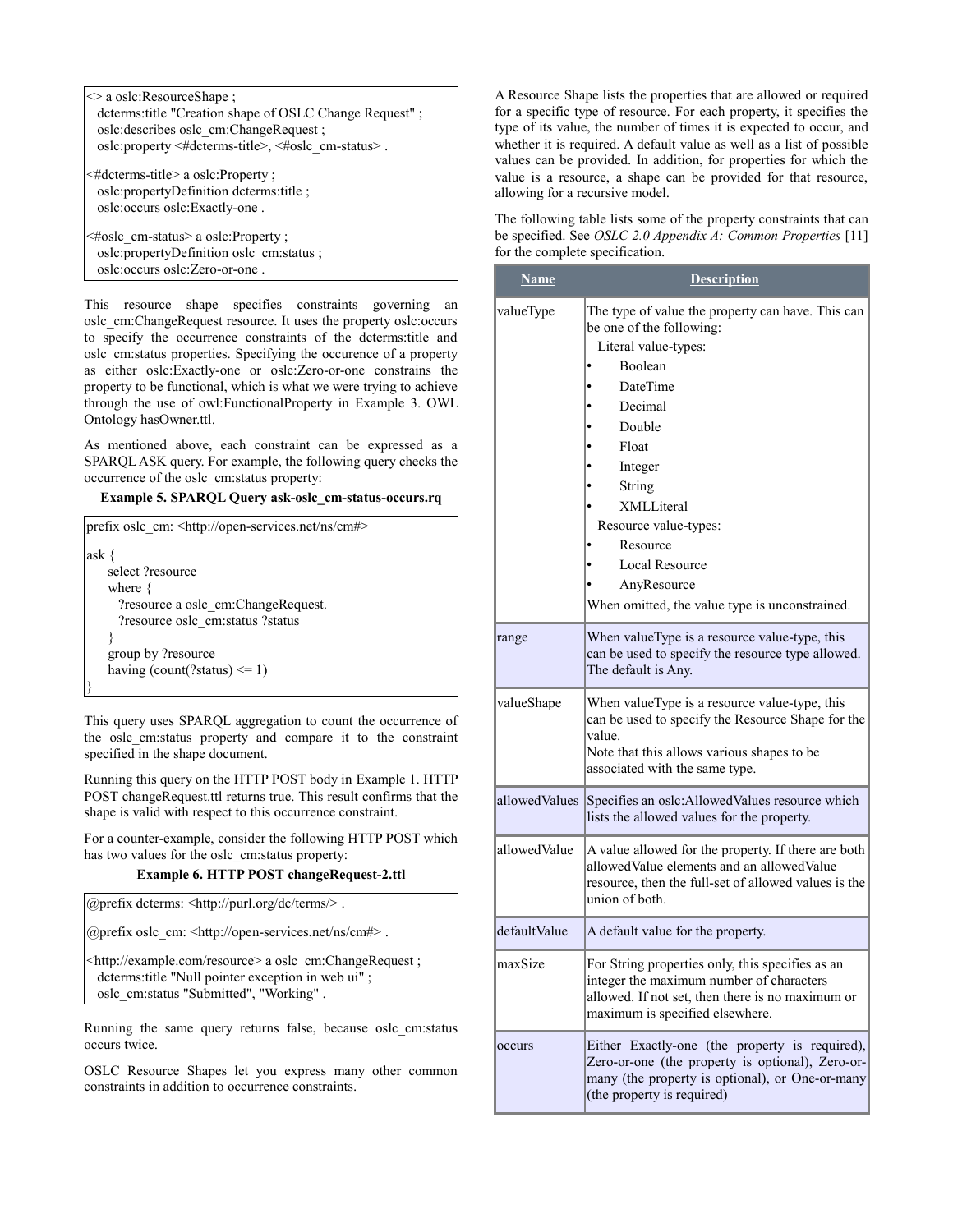| $\Diamond$ a oslc: Resource Shape:                                                                                  |  |  |
|---------------------------------------------------------------------------------------------------------------------|--|--|
| dcterms: title "Creation shape of OSLC Change Request";                                                             |  |  |
| oslc:describes oslc cm:ChangeRequest;                                                                               |  |  |
| oslc:property <#dcterms-title>, <#oslc cm-status>.                                                                  |  |  |
| $\leq$ #dcterms-title> a oslc:Property ;<br>oslc:propertyDefinition dcterms:title;<br>oslc:occurs oslc:Exactly-one. |  |  |
| $\epsilon$ #osle_em=status> a osle:Property :                                                                       |  |  |

<#oslc\_cm-status> a oslc:Property ; oslc:propertyDefinition oslc\_cm:status ; oslc:occurs oslc:Zero-or-one .

This resource shape specifies constraints governing an oslc\_cm:ChangeRequest resource. It uses the property oslc:occurs to specify the occurrence constraints of the dcterms:title and oslc\_cm:status properties. Specifying the occurence of a property as either oslc:Exactly-one or oslc:Zero-or-one constrains the property to be functional, which is what we were trying to achieve through the use of owl:FunctionalProperty in [Example 3. OWL](#page-2-0) [Ontology hasOwner.ttl.](#page-2-0)

As mentioned above, each constraint can be expressed as a SPARQL ASK query. For example, the following query checks the occurrence of the oslc\_cm:status property:

<span id="page-3-0"></span>**Example 5. SPARQL Query ask-oslc\_cm-status-occurs.rq**

| prefix oslc_cm: <http: cm#="" ns="" open-services.net=""></http:> |  |  |
|-------------------------------------------------------------------|--|--|
| ask $\{$                                                          |  |  |
| select ?resource                                                  |  |  |
| where $\{$                                                        |  |  |
| ?resource a oslc cm:ChangeRequest.                                |  |  |
| ?resource oslc cm:status ?status                                  |  |  |
|                                                                   |  |  |
| group by ?resource                                                |  |  |
| having (count(?status) $\leq 1$ )                                 |  |  |
|                                                                   |  |  |

This query uses SPARQL aggregation to count the occurrence of the oslc\_cm:status property and compare it to the constraint specified in the shape document.

Running this query on the HTTP POST body in [Example 1. HTTP](#page-1-0) [POST changeRequest.ttl](#page-1-0) returns true. This result confirms that the shape is valid with respect to this occurrence constraint.

For a counter-example, consider the following HTTP POST which has two values for the oslc\_cm:status property:

#### **Example 6. HTTP POST changeRequest-2.ttl**

@prefix dcterms: <http://purl.org/dc/terms/> .

@prefix oslc\_cm: <http://open-services.net/ns/cm#> .

<http://example.com/resource> a oslc\_cm:ChangeRequest ; dcterms:title "Null pointer exception in web ui" ; oslc\_cm:status "Submitted", "Working" .

Running the same query returns false, because oslc\_cm:status occurs twice.

OSLC Resource Shapes let you express many other common constraints in addition to occurrence constraints.

A Resource Shape lists the properties that are allowed or required for a specific type of resource. For each property, it specifies the type of its value, the number of times it is expected to occur, and whether it is required. A default value as well as a list of possible values can be provided. In addition, for properties for which the value is a resource, a shape can be provided for that resource, allowing for a recursive model.

The following table lists some of the property constraints that can be specified. See *OSLC 2.0 Appendix A: Common Properties* [\[11\]](#page-4-3) for the complete specification.

| <b>Name</b>   | <b>Description</b>                                                                                                                                                                                                                                                                                                    |
|---------------|-----------------------------------------------------------------------------------------------------------------------------------------------------------------------------------------------------------------------------------------------------------------------------------------------------------------------|
| valueType     | The type of value the property can have. This can<br>be one of the following:<br>Literal value-types:<br>Boolean<br>DateTime<br>Decimal<br>Double<br>Float<br>Integer<br>String<br>XMLLiteral<br>Resource value-types:<br>Resource<br>Local Resource<br>AnyResource<br>When omitted, the value type is unconstrained. |
| range         | When valueType is a resource value-type, this<br>can be used to specify the resource type allowed.<br>The default is Any.                                                                                                                                                                                             |
| valueShape    | When valueType is a resource value-type, this<br>can be used to specify the Resource Shape for the<br>value.<br>Note that this allows various shapes to be<br>associated with the same type.                                                                                                                          |
| allowedValues | Specifies an oslc: Allowed Values resource which<br>lists the allowed values for the property.                                                                                                                                                                                                                        |
| allowedValue  | A value allowed for the property. If there are both<br>allowedValue elements and an allowedValue<br>resource, then the full-set of allowed values is the<br>union of both.                                                                                                                                            |
| defaultValue  | A default value for the property.                                                                                                                                                                                                                                                                                     |
| maxSize       | For String properties only, this specifies as an<br>integer the maximum number of characters<br>allowed. If not set, then there is no maximum or<br>maximum is specified elsewhere.                                                                                                                                   |
| occurs        | Either Exactly-one (the property is required),<br>Zero-or-one (the property is optional), Zero-or-<br>many (the property is optional), or One-or-many<br>(the property is required)                                                                                                                                   |